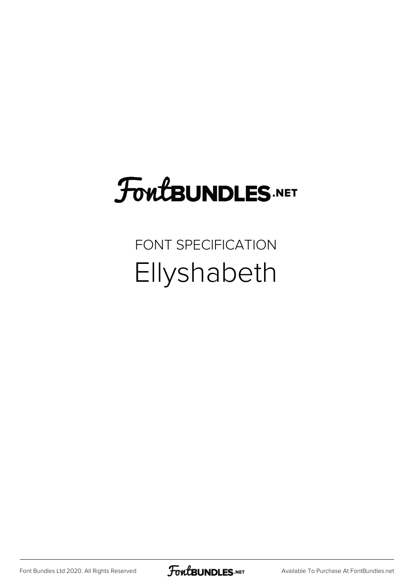## **FoutBUNDLES.NET**

## FONT SPECIFICATION Ellyshabeth

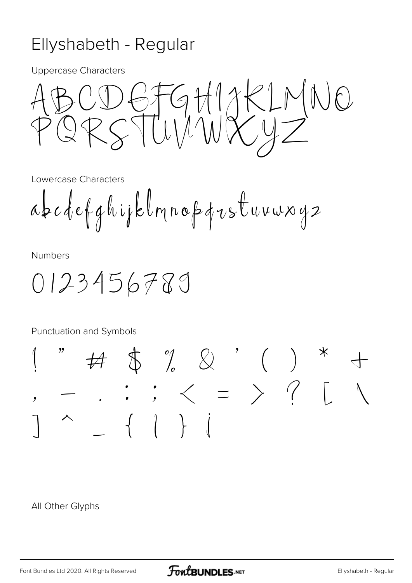## Ellyshabeth - Regular

**Uppercase Characters** 

 $GHHXKLP$  $\left(\right)$ ORSTUVNIXYZ

Lowercase Characters

abcdefghijklmnopqvstuvwxy2

**Numbers** 

0123456789

Punctuation and Symbols

 $\tag{ } \begin{array}{cccc} \text{\#} & \text{\#} & \text{\#} & \text{\#} \\ \text{\#} & \text{\#} & \text{\#} & \text{\#} & \text{\#} \end{array}$  $\therefore$   $\therefore$   $\leq$   $=$   $>$  ? [  $\overline{\phantom{a}}$ 

All Other Glyphs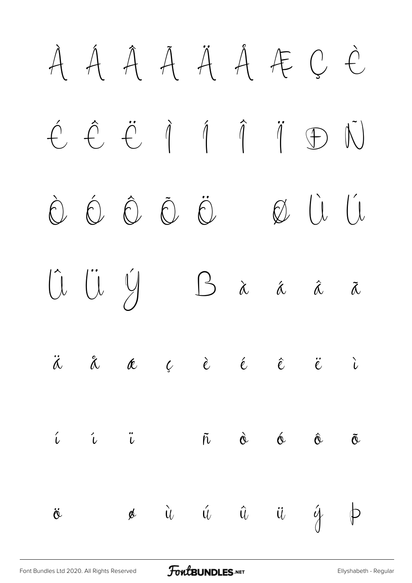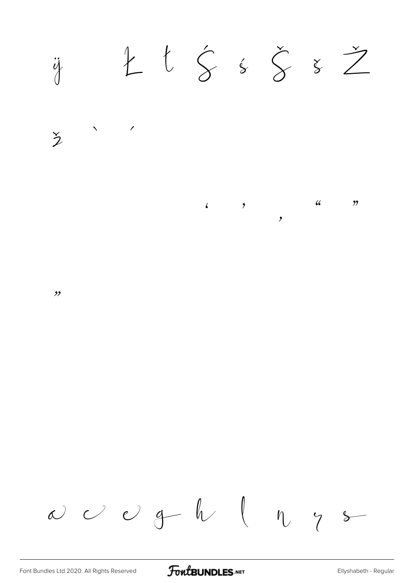$L$   $\zeta$   $\zeta$   $\zeta$   $z$   $Z$  $\ddot{q}$ 



 $\frac{1}{2}$  $\begin{array}{cccc} \begin{array}{cccc} \begin{array}{cccc} \bullet & \end{array} & \circ & \end{array} \end{array}$  $\frac{1}{2}$  $\overline{\phantom{a}}$ 

 $, ,$ 

 $\omega$   $\omega$   $\theta$   $\theta$   $\theta$   $\eta$   $\theta$ 

FontBUNDLES.NET